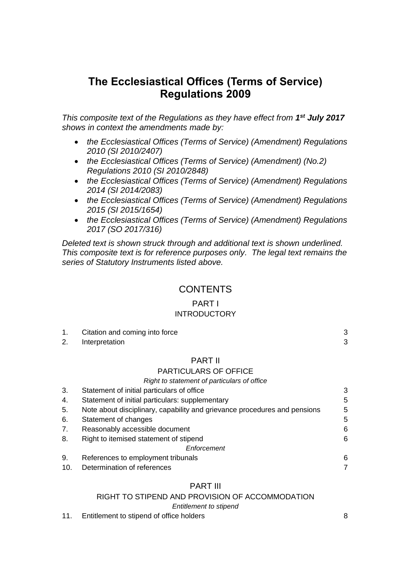# **The Ecclesiastical Offices (Terms of Service) Regulations 2009**

*This composite text of the Regulations as they have effect from 1 st July 2017 shows in context the amendments made by:*

- *the Ecclesiastical Offices (Terms of Service) (Amendment) Regulations 2010 (SI 2010/2407)*
- *the Ecclesiastical Offices (Terms of Service) (Amendment) (No.2) Regulations 2010 (SI 2010/2848)*
- *the Ecclesiastical Offices (Terms of Service) (Amendment) Regulations 2014 (SI 2014/2083)*
- *the Ecclesiastical Offices (Terms of Service) (Amendment) Regulations 2015 (SI 2015/1654)*
- *the Ecclesiastical Offices (Terms of Service) (Amendment) Regulations 2017 (SO 2017/316)*

*Deleted text is shown struck through and additional text is shown underlined. This composite text is for reference purposes only. The legal text remains the series of Statutory Instruments listed above.*

## **CONTENTS**

## PART I **INTRODUCTORY**

| 1. | Citation and coming into force              | 3 |
|----|---------------------------------------------|---|
| 2. | Interpretation                              | 3 |
|    | <b>PART II</b>                              |   |
|    | <b>PARTICULARS OF OFFICE</b>                |   |
|    | Right to statement of particulars of office |   |
|    | Statement of initial particulars of office  |   |

| ູບ. | Statement of initial particulars of online                                |   |
|-----|---------------------------------------------------------------------------|---|
| 4.  | Statement of initial particulars: supplementary                           | 5 |
| 5.  | Note about disciplinary, capability and grievance procedures and pensions | 5 |
| 6.  | Statement of changes                                                      | 5 |
| 7.  | Reasonably accessible document                                            | 6 |
| 8.  | Right to itemised statement of stipend                                    | 6 |
|     | Enforcement                                                               |   |
| 9.  | References to employment tribunals                                        | 6 |
| 10. | Determination of references                                               | 7 |

## PART III

RIGHT TO STIPEND AND PROVISION OF ACCOMMODATION

*Entitlement to stipend*

11. Entitlement to stipend of office holders [8](#page-7-0)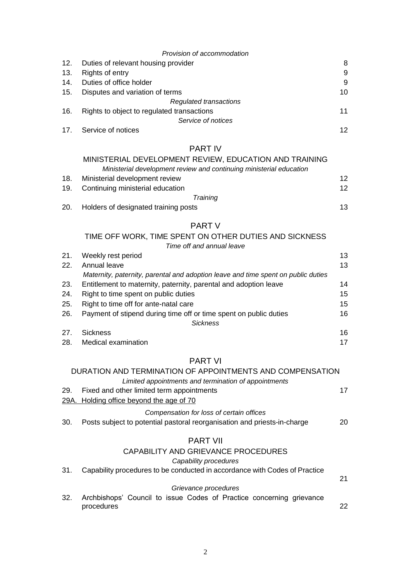|     | Provision of accommodation                 |    |
|-----|--------------------------------------------|----|
| 12. | Duties of relevant housing provider        | 8  |
| 13. | Rights of entry                            | 9  |
| 14. | Duties of office holder                    | 9  |
| 15. | Disputes and variation of terms            | 10 |
|     | Regulated transactions                     |    |
| 16. | Rights to object to regulated transactions | 11 |
|     | Service of notices                         |    |
| 17. | Service of notices                         | 12 |

## PART IV

|     | MINISTERIAL DEVELOPMENT REVIEW, EDUCATION AND TRAINING              |    |
|-----|---------------------------------------------------------------------|----|
|     | Ministerial development review and continuing ministerial education |    |
| 18. | Ministerial development review                                      | 12 |
|     | 19. Continuing ministerial education                                | 12 |
|     | Training                                                            |    |
| 20. | Holders of designated training posts                                | 13 |

# PART V

| TIME OFF WORK, TIME SPENT ON OTHER DUTIES AND SICKNESS |
|--------------------------------------------------------|
| Time off and annual leave                              |

| 21. | Weekly rest period                                                                | 13 |
|-----|-----------------------------------------------------------------------------------|----|
| 22. | Annual leave                                                                      | 13 |
|     | Maternity, paternity, parental and adoption leave and time spent on public duties |    |
| 23. | Entitlement to maternity, paternity, parental and adoption leave                  | 14 |
| 24. | Right to time spent on public duties                                              | 15 |
| 25. | Right to time off for ante-natal care                                             | 15 |
| 26. | Payment of stipend during time off or time spent on public duties                 | 16 |
|     | <b>Sickness</b>                                                                   |    |
| 27. | <b>Sickness</b>                                                                   | 16 |
| 28. | Medical examination                                                               | 17 |

## PART VI

|     | DURATION AND TERMINATION OF APPOINTMENTS AND COMPENSATION                          |    |
|-----|------------------------------------------------------------------------------------|----|
|     | Limited appointments and termination of appointments                               |    |
| 29. | Fixed and other limited term appointments                                          | 17 |
|     | 29A. Holding office beyond the age of 70                                           |    |
|     | Compensation for loss of certain offices                                           |    |
| 30. | Posts subject to potential pastoral reorganisation and priests-in-charge           | 20 |
|     | <b>PART VII</b>                                                                    |    |
|     | CAPABILITY AND GRIEVANCE PROCEDURES                                                |    |
|     | Capability procedures                                                              |    |
| 31. | Capability procedures to be conducted in accordance with Codes of Practice         |    |
|     |                                                                                    | 21 |
|     | Grievance procedures                                                               |    |
| 32. | Archbishops' Council to issue Codes of Practice concerning grievance<br>procedures | 22 |
|     |                                                                                    |    |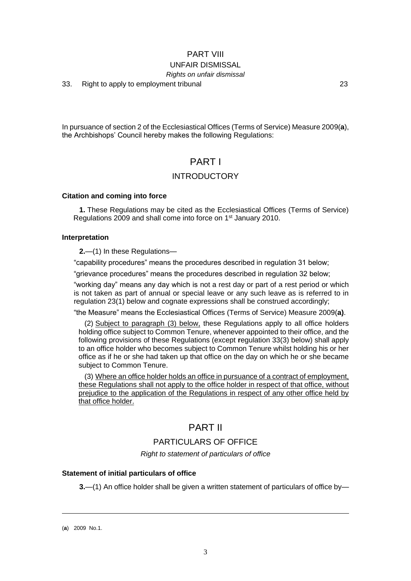## PART VIII UNFAIR DISMISSAL

### *Rights on unfair dismissal*

33. Right to apply to employment tribunal [23](#page-22-0)

In pursuance of section 2 of the Ecclesiastical Offices (Terms of Service) Measure 2009(**a**), the Archbishops' Council hereby makes the following Regulations:

## PART I

## INTRODUCTORY

### <span id="page-2-0"></span>**Citation and coming into force**

**1.** These Regulations may be cited as the Ecclesiastical Offices (Terms of Service) Regulations 2009 and shall come into force on 1<sup>st</sup> January 2010.

## <span id="page-2-1"></span>**Interpretation**

**2.**—(1) In these Regulations—

"capability procedures" means the procedures described in regulation 31 below;

"grievance procedures" means the procedures described in regulation 32 below;

"working day" means any day which is not a rest day or part of a rest period or which is not taken as part of annual or special leave or any such leave as is referred to in regulation 23(1) below and cognate expressions shall be construed accordingly;

"the Measure" means the Ecclesiastical Offices (Terms of Service) Measure 2009(**a)**.

(2) Subject to paragraph (3) below, these Regulations apply to all office holders holding office subject to Common Tenure, whenever appointed to their office, and the following provisions of these Regulations (except **r**egulation 33(3) below) shall apply to an office holder who becomes subject to Common Tenure whilst holding his or her office as if he or she had taken up that office on the day on which he or she became subject to Common Tenure.

(3) Where an office holder holds an office in pursuance of a contract of employment, these Regulations shall not apply to the office holder in respect of that office, without prejudice to the application of the Regulations in respect of any other office held by that office holder.

## PART II

## PARTICULARS OF OFFICE

*Right to statement of particulars of office*

## <span id="page-2-2"></span>**Statement of initial particulars of office**

**3.**—(1) An office holder shall be given a written statement of particulars of office by—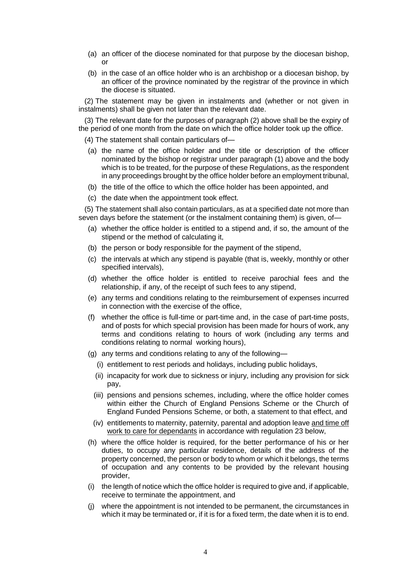- (a) an officer of the diocese nominated for that purpose by the diocesan bishop, or
- (b) in the case of an office holder who is an archbishop or a diocesan bishop, by an officer of the province nominated by the registrar of the province in which the diocese is situated.

(2) The statement may be given in instalments and (whether or not given in instalments) shall be given not later than the relevant date.

(3) The relevant date for the purposes of paragraph (2) above shall be the expiry of the period of one month from the date on which the office holder took up the office.

(4) The statement shall contain particulars of—

- (a) the name of the office holder and the title or description of the officer nominated by the bishop or registrar under paragraph (1) above and the body which is to be treated, for the purpose of these Regulations, as the respondent in any proceedings brought by the office holder before an employment tribunal,
- (b) the title of the office to which the office holder has been appointed, and
- (c) the date when the appointment took effect.

(5) The statement shall also contain particulars, as at a specified date not more than seven days before the statement (or the instalment containing them) is given, of-

- (a) whether the office holder is entitled to a stipend and, if so, the amount of the stipend or the method of calculating it,
- (b) the person or body responsible for the payment of the stipend,
- (c) the intervals at which any stipend is payable (that is, weekly, monthly or other specified intervals),
- (d) whether the office holder is entitled to receive parochial fees and the relationship, if any, of the receipt of such fees to any stipend,
- (e) any terms and conditions relating to the reimbursement of expenses incurred in connection with the exercise of the office,
- (f) whether the office is full-time or part-time and, in the case of part-time posts, and of posts for which special provision has been made for hours of work, any terms and conditions relating to hours of work (including any terms and conditions relating to normal working hours),
- (g) any terms and conditions relating to any of the following—
	- (i) entitlement to rest periods and holidays, including public holidays,
	- (ii) incapacity for work due to sickness or injury, including any provision for sick pay,
	- (iii) pensions and pensions schemes, including, where the office holder comes within either the Church of England Pensions Scheme or the Church of England Funded Pensions Scheme, or both, a statement to that effect, and
	- (iv) entitlements to maternity, paternity, parental and adoption leave and time off work to care for dependants in accordance with regulation 23 below,
- (h) where the office holder is required, for the better performance of his or her duties, to occupy any particular residence, details of the address of the property concerned, the person or body to whom or which it belongs, the terms of occupation and any contents to be provided by the relevant housing provider,
- (i) the length of notice which the office holder is required to give and, if applicable, receive to terminate the appointment, and
- (j) where the appointment is not intended to be permanent, the circumstances in which it may be terminated or, if it is for a fixed term, the date when it is to end.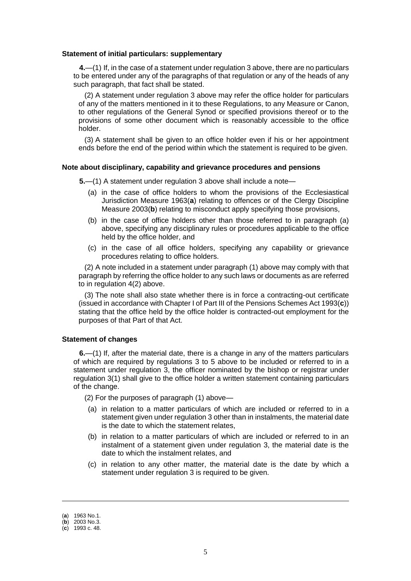#### <span id="page-4-0"></span>**Statement of initial particulars: supplementary**

**4.**—(1) If, in the case of a statement under regulation 3 above, there are no particulars to be entered under any of the paragraphs of that regulation or any of the heads of any such paragraph, that fact shall be stated.

(2) A statement under regulation 3 above may refer the office holder for particulars of any of the matters mentioned in it to these Regulations, to any Measure or Canon, to other regulations of the General Synod or specified provisions thereof or to the provisions of some other document which is reasonably accessible to the office holder.

(3) A statement shall be given to an office holder even if his or her appointment ends before the end of the period within which the statement is required to be given.

#### <span id="page-4-1"></span>**Note about disciplinary, capability and grievance procedures and pensions**

**5.**—(1) A statement under regulation 3 above shall include a note—

- (a) in the case of office holders to whom the provisions of the Ecclesiastical Jurisdiction Measure 1963(**a**) relating to offences or of the Clergy Discipline Measure 2003(**b**) relating to misconduct apply specifying those provisions,
- (b) in the case of office holders other than those referred to in paragraph (a) above, specifying any disciplinary rules or procedures applicable to the office held by the office holder, and
- (c) in the case of all office holders, specifying any capability or grievance procedures relating to office holders.

(2) A note included in a statement under paragraph (1) above may comply with that paragraph by referring the office holder to any such laws or documents as are referred to in regulation 4(2) above.

(3) The note shall also state whether there is in force a contracting-out certificate (issued in accordance with Chapter I of Part III of the Pensions Schemes Act 1993(**c**)) stating that the office held by the office holder is contracted-out employment for the purposes of that Part of that Act.

#### <span id="page-4-2"></span>**Statement of changes**

**6.**—(1) If, after the material date, there is a change in any of the matters particulars of which are required by regulations 3 to 5 above to be included or referred to in a statement under regulation 3, the officer nominated by the bishop or registrar under regulation 3(1) shall give to the office holder a written statement containing particulars of the change.

(2) For the purposes of paragraph (1) above—

- (a) in relation to a matter particulars of which are included or referred to in a statement given under regulation 3 other than in instalments, the material date is the date to which the statement relates,
- (b) in relation to a matter particulars of which are included or referred to in an instalment of a statement given under regulation 3, the material date is the date to which the instalment relates, and
- (c) in relation to any other matter, the material date is the date by which a statement under regulation 3 is required to be given.

<sup>(</sup>**a**) 1963 No.1.

<sup>(</sup>**b**) 2003 No.3.

<sup>(</sup>**c**) 1993 c. 48.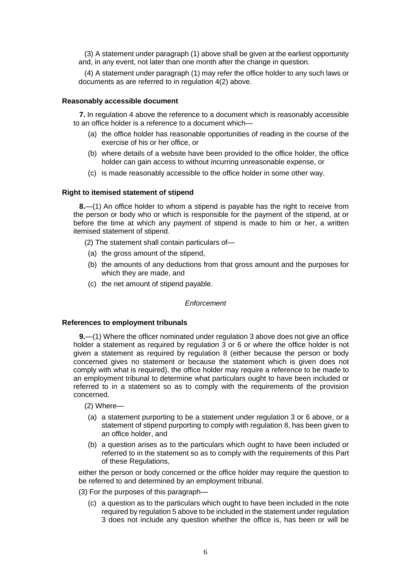(3) A statement under paragraph (1) above shall be given at the earliest opportunity and, in any event, not later than one month after the change in question.

(4) A statement under paragraph (1) may refer the office holder to any such laws or documents as are referred to in regulation 4(2) above.

### <span id="page-5-0"></span>**Reasonably accessible document**

**7.** In regulation 4 above the reference to a document which is reasonably accessible to an office holder is a reference to a document which—

- (a) the office holder has reasonable opportunities of reading in the course of the exercise of his or her office, or
- (b) where details of a website have been provided to the office holder, the office holder can gain access to without incurring unreasonable expense, or
- (c) is made reasonably accessible to the office holder in some other way.

## <span id="page-5-1"></span>**Right to itemised statement of stipend**

**8.**—(1) An office holder to whom a stipend is payable has the right to receive from the person or body who or which is responsible for the payment of the stipend, at or before the time at which any payment of stipend is made to him or her, a written itemised statement of stipend.

(2) The statement shall contain particulars of—

- (a) the gross amount of the stipend,
- (b) the amounts of any deductions from that gross amount and the purposes for which they are made, and
- (c) the net amount of stipend payable.

*Enforcement*

### <span id="page-5-2"></span>**References to employment tribunals**

**9.**—(1) Where the officer nominated under regulation 3 above does not give an office holder a statement as required by regulation 3 or 6 or where the office holder is not given a statement as required by regulation 8 (either because the person or body concerned gives no statement or because the statement which is given does not comply with what is required), the office holder may require a reference to be made to an employment tribunal to determine what particulars ought to have been included or referred to in a statement so as to comply with the requirements of the provision concerned.

- (2) Where—
- (a) a statement purporting to be a statement under regulation 3 or 6 above, or a statement of stipend purporting to comply with regulation 8, has been given to an office holder, and
- (b) a question arises as to the particulars which ought to have been included or referred to in the statement so as to comply with the requirements of this Part of these Regulations,

either the person or body concerned or the office holder may require the question to be referred to and determined by an employment tribunal.

- (3) For the purposes of this paragraph—
	- (c) a question as to the particulars which ought to have been included in the note required by regulation 5 above to be included in the statement under regulation 3 does not include any question whether the office is, has been or will be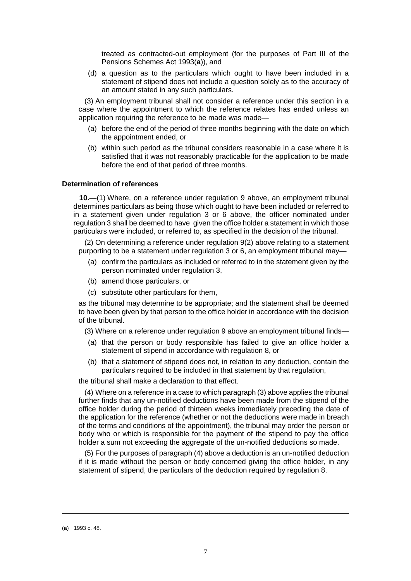treated as contracted-out employment (for the purposes of Part III of the Pensions Schemes Act 1993(**a**)), and

(d) a question as to the particulars which ought to have been included in a statement of stipend does not include a question solely as to the accuracy of an amount stated in any such particulars.

(3) An employment tribunal shall not consider a reference under this section in a case where the appointment to which the reference relates has ended unless an application requiring the reference to be made was made—

- (a) before the end of the period of three months beginning with the date on which the appointment ended, or
- (b) within such period as the tribunal considers reasonable in a case where it is satisfied that it was not reasonably practicable for the application to be made before the end of that period of three months.

### <span id="page-6-0"></span>**Determination of references**

**10.**—(1) Where, on a reference under regulation 9 above, an employment tribunal determines particulars as being those which ought to have been included or referred to in a statement given under regulation 3 or 6 above, the officer nominated under regulation 3 shall be deemed to have given the office holder a statement in which those particulars were included, or referred to, as specified in the decision of the tribunal.

(2) On determining a reference under regulation 9(2) above relating to a statement purporting to be a statement under regulation 3 or 6, an employment tribunal may—

- (a) confirm the particulars as included or referred to in the statement given by the person nominated under regulation 3,
- (b) amend those particulars, or
- (c) substitute other particulars for them,

as the tribunal may determine to be appropriate; and the statement shall be deemed to have been given by that person to the office holder in accordance with the decision of the tribunal.

(3) Where on a reference under regulation 9 above an employment tribunal finds—

- (a) that the person or body responsible has failed to give an office holder a statement of stipend in accordance with regulation 8, or
- (b) that a statement of stipend does not, in relation to any deduction, contain the particulars required to be included in that statement by that regulation,

the tribunal shall make a declaration to that effect.

(4) Where on a reference in a case to which paragraph (3) above applies the tribunal further finds that any un-notified deductions have been made from the stipend of the office holder during the period of thirteen weeks immediately preceding the date of the application for the reference (whether or not the deductions were made in breach of the terms and conditions of the appointment), the tribunal may order the person or body who or which is responsible for the payment of the stipend to pay the office holder a sum not exceeding the aggregate of the un-notified deductions so made.

(5) For the purposes of paragraph (4) above a deduction is an un-notified deduction if it is made without the person or body concerned giving the office holder, in any statement of stipend, the particulars of the deduction required by regulation 8.

<sup>(</sup>**a**) 1993 c. 48.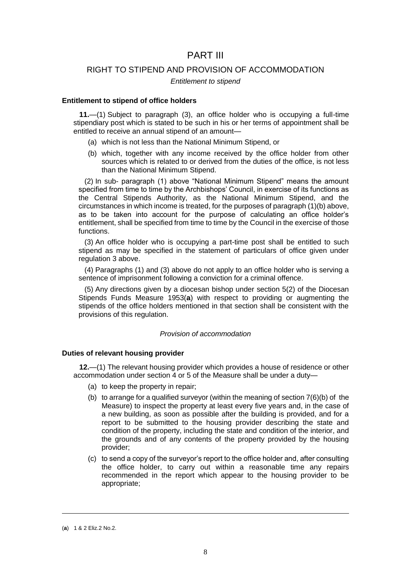## PART III

## RIGHT TO STIPEND AND PROVISION OF ACCOMMODATION

#### *Entitlement to stipend*

#### <span id="page-7-0"></span>**Entitlement to stipend of office holders**

**11.**—(1) Subject to paragraph (3), an office holder who is occupying a full-time stipendiary post which is stated to be such in his or her terms of appointment shall be entitled to receive an annual stipend of an amount—

- (a) which is not less than the National Minimum Stipend, or
- (b) which, together with any income received by the office holder from other sources which is related to or derived from the duties of the office, is not less than the National Minimum Stipend.

(2) In sub- paragraph (1) above "National Minimum Stipend" means the amount specified from time to time by the Archbishops' Council, in exercise of its functions as the Central Stipends Authority, as the National Minimum Stipend, and the circumstances in which income is treated, for the purposes of paragraph (1)(b) above, as to be taken into account for the purpose of calculating an office holder's entitlement, shall be specified from time to time by the Council in the exercise of those functions.

(3) An office holder who is occupying a part-time post shall be entitled to such stipend as may be specified in the statement of particulars of office given under regulation 3 above.

(4) Paragraphs (1) and (3) above do not apply to an office holder who is serving a sentence of imprisonment following a conviction for a criminal offence.

(5) Any directions given by a diocesan bishop under section 5(2) of the Diocesan Stipends Funds Measure 1953(**a**) with respect to providing or augmenting the stipends of the office holders mentioned in that section shall be consistent with the provisions of this regulation.

## *Provision of accommodation*

## <span id="page-7-1"></span>**Duties of relevant housing provider**

**12.**—(1) The relevant housing provider which provides a house of residence or other accommodation under section 4 or 5 of the Measure shall be under a duty—

- (a) to keep the property in repair;
- (b) to arrange for a qualified surveyor (within the meaning of section  $7(6)(b)$  of the Measure) to inspect the property at least every five years and, in the case of a new building, as soon as possible after the building is provided, and for a report to be submitted to the housing provider describing the state and condition of the property, including the state and condition of the interior, and the grounds and of any contents of the property provided by the housing provider;
- (c) to send a copy of the surveyor's report to the office holder and, after consulting the office holder, to carry out within a reasonable time any repairs recommended in the report which appear to the housing provider to be appropriate;

<sup>(</sup>**a**) 1 & 2 Eliz.2 No.2.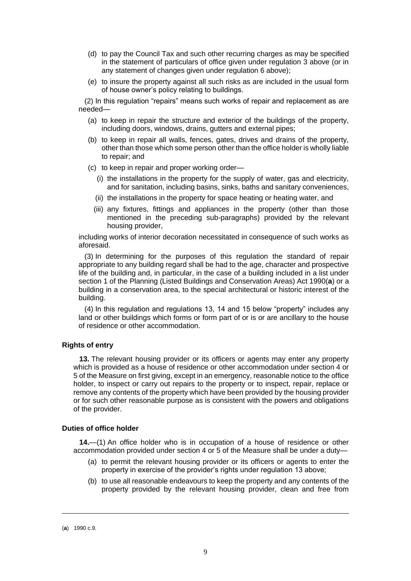- (d) to pay the Council Tax and such other recurring charges as may be specified in the statement of particulars of office given under regulation 3 above (or in any statement of changes given under regulation 6 above);
- (e) to insure the property against all such risks as are included in the usual form of house owner's policy relating to buildings.

(2) In this regulation "repairs" means such works of repair and replacement as are needed—

- (a) to keep in repair the structure and exterior of the buildings of the property, including doors, windows, drains, gutters and external pipes;
- (b) to keep in repair all walls, fences, gates, drives and drains of the property, other than those which some person other than the office holder is wholly liable to repair; and
- (c) to keep in repair and proper working order—
	- (i) the installations in the property for the supply of water, gas and electricity, and for sanitation, including basins, sinks, baths and sanitary conveniences,
	- (ii) the installations in the property for space heating or heating water, and
	- (iii) any fixtures, fittings and appliances in the property (other than those mentioned in the preceding sub-paragraphs) provided by the relevant housing provider,

including works of interior decoration necessitated in consequence of such works as aforesaid.

(3) In determining for the purposes of this regulation the standard of repair appropriate to any building regard shall be had to the age, character and prospective life of the building and, in particular, in the case of a building included in a list under section 1 of the Planning (Listed Buildings and Conservation Areas) Act 1990(**a**) or a building in a conservation area, to the special architectural or historic interest of the building.

(4) In this regulation and regulations 13, 14 and 15 below "property" includes any land or other buildings which forms or form part of or is or are ancillary to the house of residence or other accommodation.

## <span id="page-8-0"></span>**Rights of entry**

**13.** The relevant housing provider or its officers or agents may enter any property which is provided as a house of residence or other accommodation under section 4 or 5 of the Measure on first giving, except in an emergency, reasonable notice to the office holder, to inspect or carry out repairs to the property or to inspect, repair, replace or remove any contents of the property which have been provided by the housing provider or for such other reasonable purpose as is consistent with the powers and obligations of the provider.

## <span id="page-8-1"></span>**Duties of office holder**

**14.**—(1) An office holder who is in occupation of a house of residence or other accommodation provided under section 4 or 5 of the Measure shall be under a duty—

- (a) to permit the relevant housing provider or its officers or agents to enter the property in exercise of the provider's rights under regulation 13 above;
- (b) to use all reasonable endeavours to keep the property and any contents of the property provided by the relevant housing provider, clean and free from

<sup>(</sup>**a**) 1990 c.9.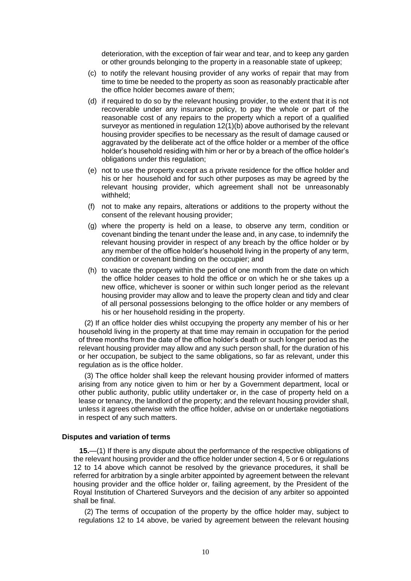deterioration, with the exception of fair wear and tear, and to keep any garden or other grounds belonging to the property in a reasonable state of upkeep;

- (c) to notify the relevant housing provider of any works of repair that may from time to time be needed to the property as soon as reasonably practicable after the office holder becomes aware of them;
- (d) if required to do so by the relevant housing provider, to the extent that it is not recoverable under any insurance policy, to pay the whole or part of the reasonable cost of any repairs to the property which a report of a qualified surveyor as mentioned in regulation 12(1)(b) above authorised by the relevant housing provider specifies to be necessary as the result of damage caused or aggravated by the deliberate act of the office holder or a member of the office holder's household residing with him or her or by a breach of the office holder's obligations under this regulation;
- (e) not to use the property except as a private residence for the office holder and his or her household and for such other purposes as may be agreed by the relevant housing provider, which agreement shall not be unreasonably withheld;
- (f) not to make any repairs, alterations or additions to the property without the consent of the relevant housing provider;
- (g) where the property is held on a lease, to observe any term, condition or covenant binding the tenant under the lease and, in any case, to indemnify the relevant housing provider in respect of any breach by the office holder or by any member of the office holder's household living in the property of any term, condition or covenant binding on the occupier; and
- (h) to vacate the property within the period of one month from the date on which the office holder ceases to hold the office or on which he or she takes up a new office, whichever is sooner or within such longer period as the relevant housing provider may allow and to leave the property clean and tidy and clear of all personal possessions belonging to the office holder or any members of his or her household residing in the property.

(2) If an office holder dies whilst occupying the property any member of his or her household living in the property at that time may remain in occupation for the period of three months from the date of the office holder's death or such longer period as the relevant housing provider may allow and any such person shall, for the duration of his or her occupation, be subject to the same obligations, so far as relevant, under this regulation as is the office holder.

(3) The office holder shall keep the relevant housing provider informed of matters arising from any notice given to him or her by a Government department, local or other public authority, public utility undertaker or, in the case of property held on a lease or tenancy, the landlord of the property; and the relevant housing provider shall, unless it agrees otherwise with the office holder, advise on or undertake negotiations in respect of any such matters.

### <span id="page-9-0"></span>**Disputes and variation of terms**

**15.**—(1) If there is any dispute about the performance of the respective obligations of the relevant housing provider and the office holder under section 4, 5 or 6 or regulations 12 to 14 above which cannot be resolved by the grievance procedures, it shall be referred for arbitration by a single arbiter appointed by agreement between the relevant housing provider and the office holder or, failing agreement, by the President of the Royal Institution of Chartered Surveyors and the decision of any arbiter so appointed shall be final.

(2) The terms of occupation of the property by the office holder may, subject to regulations 12 to 14 above, be varied by agreement between the relevant housing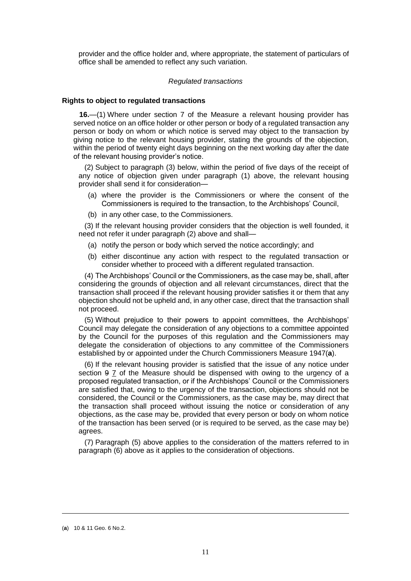provider and the office holder and, where appropriate, the statement of particulars of office shall be amended to reflect any such variation.

### *Regulated transactions*

#### <span id="page-10-0"></span>**Rights to object to regulated transactions**

**16.**—(1) Where under section 7 of the Measure a relevant housing provider has served notice on an office holder or other person or body of a regulated transaction any person or body on whom or which notice is served may object to the transaction by giving notice to the relevant housing provider, stating the grounds of the objection, within the period of twenty eight days beginning on the next working day after the date of the relevant housing provider's notice.

(2) Subject to paragraph (3) below, within the period of five days of the receipt of any notice of objection given under paragraph (1) above, the relevant housing provider shall send it for consideration—

- (a) where the provider is the Commissioners or where the consent of the Commissioners is required to the transaction, to the Archbishops' Council,
- (b) in any other case, to the Commissioners.

(3) If the relevant housing provider considers that the objection is well founded, it need not refer it under paragraph (2) above and shall—

- (a) notify the person or body which served the notice accordingly; and
- (b) either discontinue any action with respect to the regulated transaction or consider whether to proceed with a different regulated transaction.

(4) The Archbishops' Council or the Commissioners, as the case may be, shall, after considering the grounds of objection and all relevant circumstances, direct that the transaction shall proceed if the relevant housing provider satisfies it or them that any objection should not be upheld and, in any other case, direct that the transaction shall not proceed.

(5) Without prejudice to their powers to appoint committees, the Archbishops' Council may delegate the consideration of any objections to a committee appointed by the Council for the purposes of this regulation and the Commissioners may delegate the consideration of objections to any committee of the Commissioners established by or appointed under the Church Commissioners Measure 1947(**a**).

(6) If the relevant housing provider is satisfied that the issue of any notice under section  $9$   $\overline{7}$  of the Measure should be dispensed with owing to the urgency of a proposed regulated transaction, or if the Archbishops' Council or the Commissioners are satisfied that, owing to the urgency of the transaction, objections should not be considered, the Council or the Commissioners, as the case may be, may direct that the transaction shall proceed without issuing the notice or consideration of any objections, as the case may be, provided that every person or body on whom notice of the transaction has been served (or is required to be served, as the case may be) agrees.

(7) Paragraph (5) above applies to the consideration of the matters referred to in paragraph (6) above as it applies to the consideration of objections.

<sup>(</sup>**a**) 10 & 11 Geo. 6 No.2.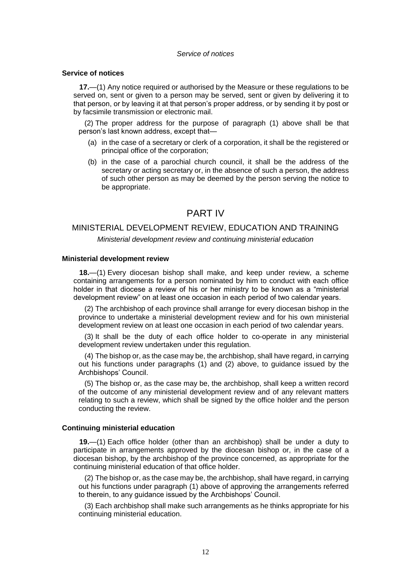#### *Service of notices*

### <span id="page-11-0"></span>**Service of notices**

**17.**—(1) Any notice required or authorised by the Measure or these regulations to be served on, sent or given to a person may be served, sent or given by delivering it to that person, or by leaving it at that person's proper address, or by sending it by post or by facsimile transmission or electronic mail.

(2) The proper address for the purpose of paragraph (1) above shall be that person's last known address, except that—

- (a) in the case of a secretary or clerk of a corporation, it shall be the registered or principal office of the corporation;
- (b) in the case of a parochial church council, it shall be the address of the secretary or acting secretary or, in the absence of such a person, the address of such other person as may be deemed by the person serving the notice to be appropriate.

## PART IV

## MINISTERIAL DEVELOPMENT REVIEW, EDUCATION AND TRAINING

*Ministerial development review and continuing ministerial education*

#### <span id="page-11-1"></span>**Ministerial development review**

**18.**—(1) Every diocesan bishop shall make, and keep under review, a scheme containing arrangements for a person nominated by him to conduct with each office holder in that diocese a review of his or her ministry to be known as a "ministerial development review" on at least one occasion in each period of two calendar years.

(2) The archbishop of each province shall arrange for every diocesan bishop in the province to undertake a ministerial development review and for his own ministerial development review on at least one occasion in each period of two calendar years.

(3) It shall be the duty of each office holder to co-operate in any ministerial development review undertaken under this regulation.

(4) The bishop or, as the case may be, the archbishop, shall have regard, in carrying out his functions under paragraphs (1) and (2) above, to guidance issued by the Archbishops' Council.

(5) The bishop or, as the case may be, the archbishop, shall keep a written record of the outcome of any ministerial development review and of any relevant matters relating to such a review, which shall be signed by the office holder and the person conducting the review.

#### <span id="page-11-2"></span>**Continuing ministerial education**

**19.**—(1) Each office holder (other than an archbishop) shall be under a duty to participate in arrangements approved by the diocesan bishop or, in the case of a diocesan bishop, by the archbishop of the province concerned, as appropriate for the continuing ministerial education of that office holder.

(2) The bishop or, as the case may be, the archbishop, shall have regard, in carrying out his functions under paragraph (1) above of approving the arrangements referred to therein, to any guidance issued by the Archbishops' Council.

(3) Each archbishop shall make such arrangements as he thinks appropriate for his continuing ministerial education.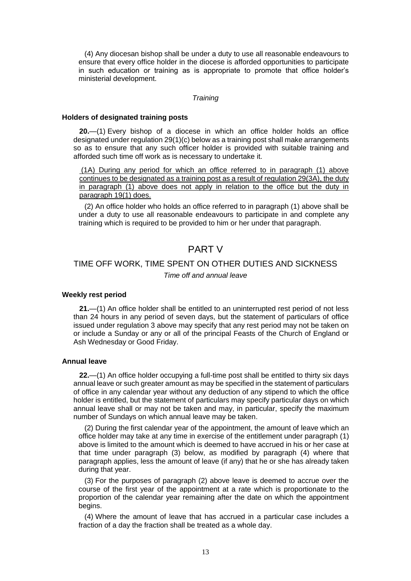(4) Any diocesan bishop shall be under a duty to use all reasonable endeavours to ensure that every office holder in the diocese is afforded opportunities to participate in such education or training as is appropriate to promote that office holder's ministerial development.

## *Training*

#### <span id="page-12-0"></span>**Holders of designated training posts**

**20.**—(1) Every bishop of a diocese in which an office holder holds an office designated under regulation 29(1)(c) below as a training post shall make arrangements so as to ensure that any such officer holder is provided with suitable training and afforded such time off work as is necessary to undertake it.

(1A) During any period for which an office referred to in paragraph (1) above continues to be designated as a training post as a result of regulation 29(3A), the duty in paragraph (1) above does not apply in relation to the office but the duty in paragraph 19(1) does.

(2) An office holder who holds an office referred to in paragraph (1) above shall be under a duty to use all reasonable endeavours to participate in and complete any training which is required to be provided to him or her under that paragraph.

## PART V

## TIME OFF WORK, TIME SPENT ON OTHER DUTIES AND SICKNESS

*Time off and annual leave*

#### <span id="page-12-1"></span>**Weekly rest period**

**21.**—(1) An office holder shall be entitled to an uninterrupted rest period of not less than 24 hours in any period of seven days, but the statement of particulars of office issued under regulation 3 above may specify that any rest period may not be taken on or include a Sunday or any or all of the principal Feasts of the Church of England or Ash Wednesday or Good Friday.

## <span id="page-12-2"></span>**Annual leave**

**22.**—(1) An office holder occupying a full-time post shall be entitled to thirty six days annual leave or such greater amount as may be specified in the statement of particulars of office in any calendar year without any deduction of any stipend to which the office holder is entitled, but the statement of particulars may specify particular days on which annual leave shall or may not be taken and may, in particular, specify the maximum number of Sundays on which annual leave may be taken.

(2) During the first calendar year of the appointment, the amount of leave which an office holder may take at any time in exercise of the entitlement under paragraph (1) above is limited to the amount which is deemed to have accrued in his or her case at that time under paragraph (3) below, as modified by paragraph (4) where that paragraph applies, less the amount of leave (if any) that he or she has already taken during that year.

(3) For the purposes of paragraph (2) above leave is deemed to accrue over the course of the first year of the appointment at a rate which is proportionate to the proportion of the calendar year remaining after the date on which the appointment begins.

(4) Where the amount of leave that has accrued in a particular case includes a fraction of a day the fraction shall be treated as a whole day.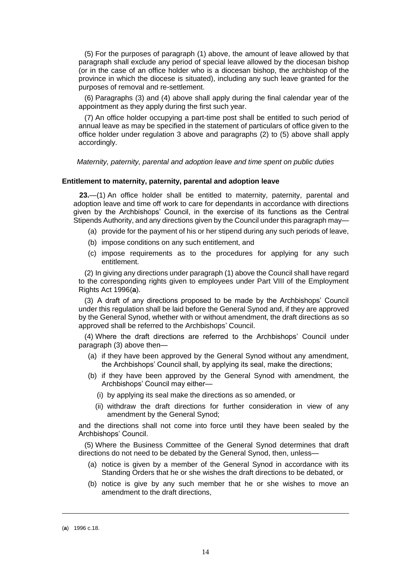(5) For the purposes of paragraph (1) above, the amount of leave allowed by that paragraph shall exclude any period of special leave allowed by the diocesan bishop (or in the case of an office holder who is a diocesan bishop, the archbishop of the province in which the diocese is situated), including any such leave granted for the purposes of removal and re-settlement.

(6) Paragraphs (3) and (4) above shall apply during the final calendar year of the appointment as they apply during the first such year.

(7) An office holder occupying a part-time post shall be entitled to such period of annual leave as may be specified in the statement of particulars of office given to the office holder under regulation 3 above and paragraphs (2) to (5) above shall apply accordingly.

*Maternity, paternity, parental and adoption leave and time spent on public duties*

#### <span id="page-13-0"></span>**Entitlement to maternity, paternity, parental and adoption leave**

**23.**—(1) An office holder shall be entitled to maternity, paternity, parental and adoption leave and time off work to care for dependants in accordance with directions given by the Archbishops' Council, in the exercise of its functions as the Central Stipends Authority, and any directions given by the Council under this paragraph may—

- (a) provide for the payment of his or her stipend during any such periods of leave,
- (b) impose conditions on any such entitlement, and
- (c) impose requirements as to the procedures for applying for any such entitlement.

(2) In giving any directions under paragraph (1) above the Council shall have regard to the corresponding rights given to employees under Part VIII of the Employment Rights Act 1996(**a**).

(3) A draft of any directions proposed to be made by the Archbishops' Council under this regulation shall be laid before the General Synod and, if they are approved by the General Synod, whether with or without amendment, the draft directions as so approved shall be referred to the Archbishops' Council.

(4) Where the draft directions are referred to the Archbishops' Council under paragraph (3) above then—

- (a) if they have been approved by the General Synod without any amendment, the Archbishops' Council shall, by applying its seal, make the directions;
- (b) if they have been approved by the General Synod with amendment, the Archbishops' Council may either—
	- (i) by applying its seal make the directions as so amended, or
	- (ii) withdraw the draft directions for further consideration in view of any amendment by the General Synod;

and the directions shall not come into force until they have been sealed by the Archbishops' Council.

(5) Where the Business Committee of the General Synod determines that draft directions do not need to be debated by the General Synod, then, unless—

- (a) notice is given by a member of the General Synod in accordance with its Standing Orders that he or she wishes the draft directions to be debated, or
- (b) notice is give by any such member that he or she wishes to move an amendment to the draft directions,

<sup>(</sup>**a**) 1996 c.18.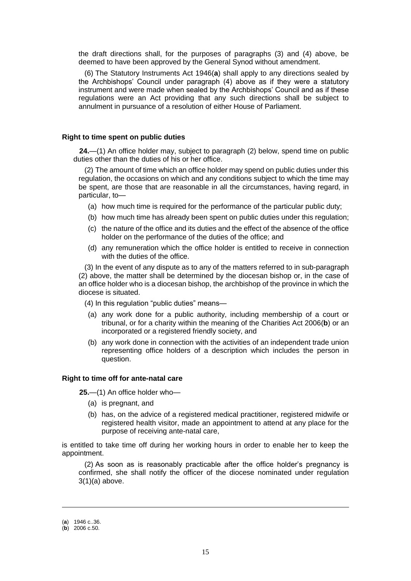the draft directions shall, for the purposes of paragraphs (3) and (4) above, be deemed to have been approved by the General Synod without amendment.

(6) The Statutory Instruments Act 1946(**a**) shall apply to any directions sealed by the Archbishops' Council under paragraph (4) above as if they were a statutory instrument and were made when sealed by the Archbishops' Council and as if these regulations were an Act providing that any such directions shall be subject to annulment in pursuance of a resolution of either House of Parliament.

### <span id="page-14-0"></span>**Right to time spent on public duties**

**24.**—(1) An office holder may, subject to paragraph (2) below, spend time on public duties other than the duties of his or her office.

(2) The amount of time which an office holder may spend on public duties under this regulation, the occasions on which and any conditions subject to which the time may be spent, are those that are reasonable in all the circumstances, having regard, in particular, to—

- (a) how much time is required for the performance of the particular public duty;
- (b) how much time has already been spent on public duties under this regulation;
- (c) the nature of the office and its duties and the effect of the absence of the office holder on the performance of the duties of the office; and
- (d) any remuneration which the office holder is entitled to receive in connection with the duties of the office.

(3) In the event of any dispute as to any of the matters referred to in sub-paragraph (2) above, the matter shall be determined by the diocesan bishop or, in the case of an office holder who is a diocesan bishop, the archbishop of the province in which the diocese is situated.

(4) In this regulation "public duties" means—

- (a) any work done for a public authority, including membership of a court or tribunal, or for a charity within the meaning of the Charities Act 2006(**b**) or an incorporated or a registered friendly society, and
- (b) any work done in connection with the activities of an independent trade union representing office holders of a description which includes the person in question.

#### <span id="page-14-1"></span>**Right to time off for ante-natal care**

**25.**—(1) An office holder who—

- (a) is pregnant, and
- (b) has, on the advice of a registered medical practitioner, registered midwife or registered health visitor, made an appointment to attend at any place for the purpose of receiving ante-natal care,

is entitled to take time off during her working hours in order to enable her to keep the appointment.

(2) As soon as is reasonably practicable after the office holder's pregnancy is confirmed, she shall notify the officer of the diocese nominated under regulation  $3(1)(a)$  above.

<sup>(</sup>**a**) 1946 c..36.

<sup>(</sup>**b**) 2006 c.50.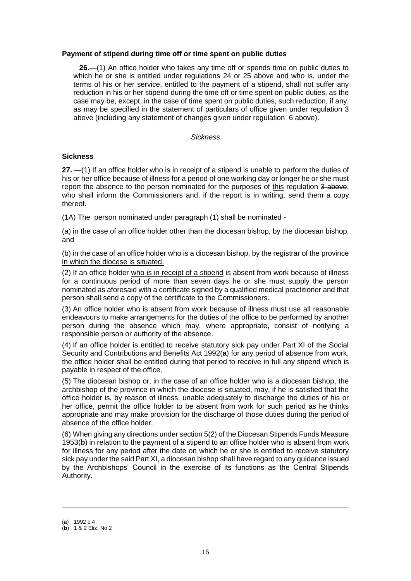## <span id="page-15-0"></span>**Payment of stipend during time off or time spent on public duties**

**26.**—(1) An office holder who takes any time off or spends time on public duties to which he or she is entitled under regulations 24 or 25 above and who is, under the terms of his or her service, entitled to the payment of a stipend, shall not suffer any reduction in his or her stipend during the time off or time spent on public duties, as the case may be, except, in the case of time spent on public duties, such reduction, if any, as may be specified in the statement of particulars of office given under regulation 3 above (including any statement of changes given under regulation 6 above).

## *Sickness*

## <span id="page-15-1"></span>**Sickness**

**27.** —(1) If an office holder who is in receipt of a stipend is unable to perform the duties of his or her office because of illness for a period of one working day or longer he or she must report the absence to the person nominated for the purposes of this regulation 3 above, who shall inform the Commissioners and, if the report is in writing, send them a copy thereof.

(1A) The person nominated under paragraph (1) shall be nominated -

(a) in the case of an office holder other than the diocesan bishop, by the diocesan bishop, and

(b) in the case of an office holder who is a diocesan bishop, by the registrar of the province in which the diocese is situated.

(2) If an office holder who is in receipt of a stipend is absent from work because of illness for a continuous period of more than seven days he or she must supply the person nominated as aforesaid with a certificate signed by a qualified medical practitioner and that person shall send a copy of the certificate to the Commissioners.

(3) An office holder who is absent from work because of illness must use all reasonable endeavours to make arrangements for the duties of the office to be performed by another person during the absence which may, where appropriate, consist of notifying a responsible person or authority of the absence.

(4) If an office holder is entitled to receive statutory sick pay under Part XI of the Social Security and Contributions and Benefits Act 1992(**a**) for any period of absence from work, the office holder shall be entitled during that period to receive in full any stipend which is payable in respect of the office.

(5) The diocesan bishop or, in the case of an office holder who is a diocesan bishop, the archbishop of the province in which the diocese is situated, may, if he is satisfied that the office holder is, by reason of illness, unable adequately to discharge the duties of his or her office, permit the office holder to be absent from work for such period as he thinks appropriate and may make provision for the discharge of those duties during the period of absence of the office holder.

(6) When giving any directions under section 5(2) of the Diocesan Stipends Funds Measure 1953(**b**) in relation to the payment of a stipend to an office holder who is absent from work for illness for any period after the date on which he or she is entitled to receive statutory sick pay under the said Part XI, a diocesan bishop shall have regard to any guidance issued by the Archbishops' Council in the exercise of its functions as the Central Stipends Authority.

<sup>(</sup>**a**) 1992 c.4

<sup>(</sup>**b**) 1 & 2 Eliz. No.2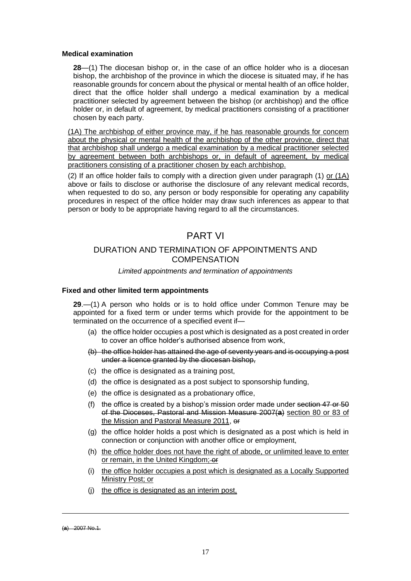## <span id="page-16-0"></span>**Medical examination**

**28**—(1) The diocesan bishop or, in the case of an office holder who is a diocesan bishop, the archbishop of the province in which the diocese is situated may, if he has reasonable grounds for concern about the physical or mental health of an office holder, direct that the office holder shall undergo a medical examination by a medical practitioner selected by agreement between the bishop (or archbishop) and the office holder or, in default of agreement, by medical practitioners consisting of a practitioner chosen by each party.

(1A) The archbishop of either province may, if he has reasonable grounds for concern about the physical or mental health of the archbishop of the other province, direct that that archbishop shall undergo a medical examination by a medical practitioner selected by agreement between both archbishops or, in default of agreement, by medical practitioners consisting of a practitioner chosen by each archbishop.

(2) If an office holder fails to comply with a direction given under paragraph (1) or (1A) above or fails to disclose or authorise the disclosure of any relevant medical records, when requested to do so, any person or body responsible for operating any capability procedures in respect of the office holder may draw such inferences as appear to that person or body to be appropriate having regard to all the circumstances.

## PART VI

## DURATION AND TERMINATION OF APPOINTMENTS AND **COMPENSATION**

## *Limited appointments and termination of appointments*

## <span id="page-16-1"></span>**Fixed and other limited term appointments**

**29**.—(1) A person who holds or is to hold office under Common Tenure may be appointed for a fixed term or under terms which provide for the appointment to be terminated on the occurrence of a specified event if—

- (a) the office holder occupies a post which is designated as a post created in order to cover an office holder's authorised absence from work,
- (b) the office holder has attained the age of seventy years and is occupying a post under a licence granted by the diocesan bishop,
- (c) the office is designated as a training post,
- (d) the office is designated as a post subject to sponsorship funding,
- (e) the office is designated as a probationary office,
- (f) the office is created by a bishop's mission order made under section  $47$  or  $50$ of the Dioceses, Pastoral and Mission Measure 2007(**a**) section 80 or 83 of the Mission and Pastoral Measure 2011, or
- (g) the office holder holds a post which is designated as a post which is held in connection or conjunction with another office or employment,
- (h) the office holder does not have the right of abode, or unlimited leave to enter or remain, in the United Kingdom; or
- (i) the office holder occupies a post which is designated as a Locally Supported Ministry Post; or
- (j) the office is designated as an interim post,

<sup>(</sup>**a**) 2007 No.1.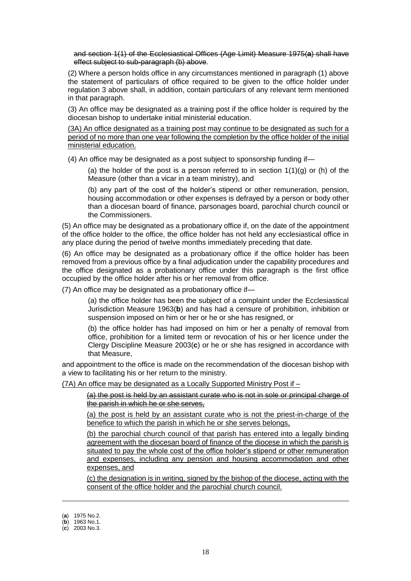and section 1(1) of the Ecclesiastical Offices (Age Limit) Measure 1975(**a**) shall have effect subject to sub-paragraph (b) above.

(2) Where a person holds office in any circumstances mentioned in paragraph (1) above the statement of particulars of office required to be given to the office holder under regulation 3 above shall, in addition, contain particulars of any relevant term mentioned in that paragraph.

(3) An office may be designated as a training post if the office holder is required by the diocesan bishop to undertake initial ministerial education.

(3A) An office designated as a training post may continue to be designated as such for a period of no more than one year following the completion by the office holder of the initial ministerial education.

(4) An office may be designated as a post subject to sponsorship funding if—

(a) the holder of the post is a person referred to in section  $1(1)(q)$  or (h) of the Measure (other than a vicar in a team ministry), and

(b) any part of the cost of the holder's stipend or other remuneration, pension, housing accommodation or other expenses is defrayed by a person or body other than a diocesan board of finance, parsonages board, parochial church council or the Commissioners.

(5) An office may be designated as a probationary office if, on the date of the appointment of the office holder to the office, the office holder has not held any ecclesiastical office in any place during the period of twelve months immediately preceding that date.

(6) An office may be designated as a probationary office if the office holder has been removed from a previous office by a final adjudication under the capability procedures and the office designated as a probationary office under this paragraph is the first office occupied by the office holder after his or her removal from office.

(7) An office may be designated as a probationary office if—

(a) the office holder has been the subject of a complaint under the Ecclesiastical Jurisdiction Measure 1963(**b**) and has had a censure of prohibition, inhibition or suspension imposed on him or her or he or she has resigned, or

(b) the office holder has had imposed on him or her a penalty of removal from office, prohibition for a limited term or revocation of his or her licence under the Clergy Discipline Measure 2003(**c**) or he or she has resigned in accordance with that Measure,

and appointment to the office is made on the recommendation of the diocesan bishop with a view to facilitating his or her return to the ministry.

(7A) An office may be designated as a Locally Supported Ministry Post if –

(a) the post is held by an assistant curate who is not in sole or principal charge of the parish in which he or she serves,

(a) the post is held by an assistant curate who is not the priest-in-charge of the benefice to which the parish in which he or she serves belongs,

(b) the parochial church council of that parish has entered into a legally binding agreement with the diocesan board of finance of the diocese in which the parish is situated to pay the whole cost of the office holder's stipend or other remuneration and expenses, including any pension and housing accommodation and other expenses, and

(c) the designation is in writing, signed by the bishop of the diocese, acting with the consent of the office holder and the parochial church council.

<sup>(</sup>**a**) 1975 No.2.

<sup>(</sup>**b**) 1963 No.1.

<sup>(</sup>**c**) 2003 No.3.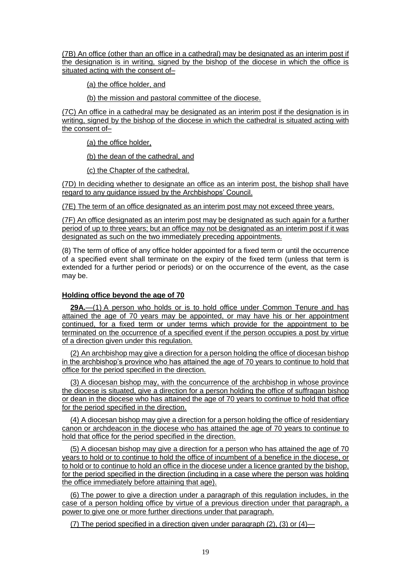(7B) An office (other than an office in a cathedral) may be designated as an interim post if the designation is in writing, signed by the bishop of the diocese in which the office is situated acting with the consent of–

(a) the office holder, and

(b) the mission and pastoral committee of the diocese.

(7C) An office in a cathedral may be designated as an interim post if the designation is in writing, signed by the bishop of the diocese in which the cathedral is situated acting with the consent of–

(a) the office holder,

(b) the dean of the cathedral, and

(c) the Chapter of the cathedral.

(7D) In deciding whether to designate an office as an interim post, the bishop shall have regard to any guidance issued by the Archbishops' Council.

(7E) The term of an office designated as an interim post may not exceed three years.

(7F) An office designated as an interim post may be designated as such again for a further period of up to three years; but an office may not be designated as an interim post if it was designated as such on the two immediately preceding appointments.

(8) The term of office of any office holder appointed for a fixed term or until the occurrence of a specified event shall terminate on the expiry of the fixed term (unless that term is extended for a further period or periods) or on the occurrence of the event, as the case may be.

## **Holding office beyond the age of 70**

**29A.**—(1) A person who holds or is to hold office under Common Tenure and has attained the age of 70 years may be appointed, or may have his or her appointment continued, for a fixed term or under terms which provide for the appointment to be terminated on the occurrence of a specified event if the person occupies a post by virtue of a direction given under this regulation.

(2) An archbishop may give a direction for a person holding the office of diocesan bishop in the archbishop's province who has attained the age of 70 years to continue to hold that office for the period specified in the direction.

(3) A diocesan bishop may, with the concurrence of the archbishop in whose province the diocese is situated, give a direction for a person holding the office of suffragan bishop or dean in the diocese who has attained the age of 70 years to continue to hold that office for the period specified in the direction.

(4) A diocesan bishop may give a direction for a person holding the office of residentiary canon or archdeacon in the diocese who has attained the age of 70 years to continue to hold that office for the period specified in the direction.

(5) A diocesan bishop may give a direction for a person who has attained the age of 70 years to hold or to continue to hold the office of incumbent of a benefice in the diocese, or to hold or to continue to hold an office in the diocese under a licence granted by the bishop, for the period specified in the direction (including in a case where the person was holding the office immediately before attaining that age).

(6) The power to give a direction under a paragraph of this regulation includes, in the case of a person holding office by virtue of a previous direction under that paragraph, a power to give one or more further directions under that paragraph.

(7) The period specified in a direction given under paragraph (2), (3) or (4)—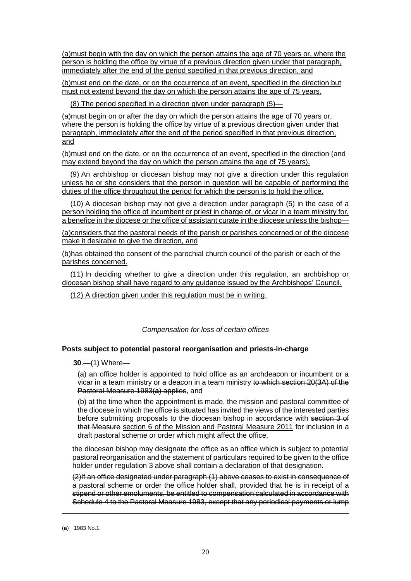(a)must begin with the day on which the person attains the age of 70 years or, where the person is holding the office by virtue of a previous direction given under that paragraph, immediately after the end of the period specified in that previous direction, and

(b)must end on the date, or on the occurrence of an event, specified in the direction but must not extend beyond the day on which the person attains the age of 75 years.

(8) The period specified in a direction given under paragraph (5)—

(a)must begin on or after the day on which the person attains the age of 70 years or, where the person is holding the office by virtue of a previous direction given under that paragraph, immediately after the end of the period specified in that previous direction, and

(b)must end on the date, or on the occurrence of an event, specified in the direction (and may extend beyond the day on which the person attains the age of 75 years),

(9) An archbishop or diocesan bishop may not give a direction under this regulation unless he or she considers that the person in question will be capable of performing the duties of the office throughout the period for which the person is to hold the office.

(10) A diocesan bishop may not give a direction under paragraph (5) in the case of a person holding the office of incumbent or priest in charge of, or vicar in a team ministry for, a benefice in the diocese or the office of assistant curate in the diocese unless the bishop—

(a)considers that the pastoral needs of the parish or parishes concerned or of the diocese make it desirable to give the direction, and

(b)has obtained the consent of the parochial church council of the parish or each of the parishes concerned.

(11) In deciding whether to give a direction under this regulation, an archbishop or diocesan bishop shall have regard to any guidance issued by the Archbishops' Council.

(12) A direction given under this regulation must be in writing.

*Compensation for loss of certain offices*

### <span id="page-19-0"></span>**Posts subject to potential pastoral reorganisation and priests-in-charge**

**30**.—(1) Where—

(a) an office holder is appointed to hold office as an archdeacon or incumbent or a vicar in a team ministry or a deacon in a team ministry to which section 20(3A) of the Pastoral Measure 1983(**a**) applies, and

(b) at the time when the appointment is made, the mission and pastoral committee of the diocese in which the office is situated has invited the views of the interested parties before submitting proposals to the diocesan bishop in accordance with section 3 of that Measure section 6 of the Mission and Pastoral Measure 2011 for inclusion in a draft pastoral scheme or order which might affect the office,

the diocesan bishop may designate the office as an office which is subject to potential pastoral reorganisation and the statement of particulars required to be given to the office holder under regulation 3 above shall contain a declaration of that designation.

(2)If an office designated under paragraph (1) above ceases to exist in consequence of a pastoral scheme or order the office holder shall, provided that he is in receipt of a stipend or other emoluments, be entitled to compensation calculated in accordance with Schedule 4 to the Pastoral Measure 1983, except that any periodical payments or lump

<sup>(</sup>**a**) 1983 No.1.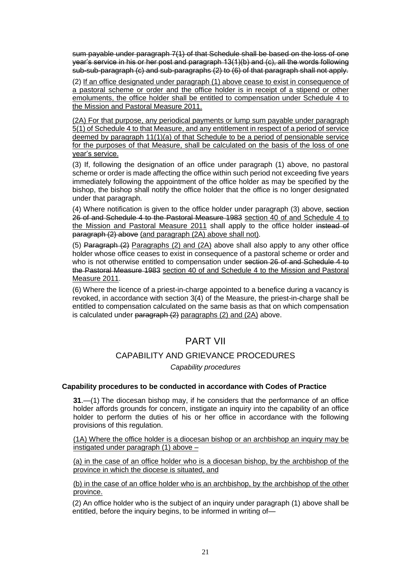sum payable under paragraph 7(1) of that Schedule shall be based on the loss of one year's service in his or her post and paragraph 13(1)(b) and (c), all the words following sub**-**sub-paragraph (c) and sub-paragraphs (2) to (6) of that paragraph shall not apply.

(2) If an office designated under paragraph (1) above cease to exist in consequence of a pastoral scheme or order and the office holder is in receipt of a stipend or other emoluments, the office holder shall be entitled to compensation under Schedule 4 to the Mission and Pastoral Measure 2011.

(2A) For that purpose, any periodical payments or lump sum payable under paragraph 5(1) of Schedule 4 to that Measure, and any entitlement in respect of a period of service deemed by paragraph 11(1)(a) of that Schedule to be a period of pensionable service for the purposes of that Measure, shall be calculated on the basis of the loss of one year's service.

(3) If, following the designation of an office under paragraph (1) above, no pastoral scheme or order is made affecting the office within such period not exceeding five years immediately following the appointment of the office holder as may be specified by the bishop, the bishop shall notify the office holder that the office is no longer designated under that paragraph.

(4) Where notification is given to the office holder under paragraph (3) above, section 26 of and Schedule 4 to the Pastoral Measure 1983 section 40 of and Schedule 4 to the Mission and Pastoral Measure 2011 shall apply to the office holder instead of paragraph (2) above (and paragraph (2A) above shall not).

(5) Paragraph (2) Paragraphs (2) and (2A) above shall also apply to any other office holder whose office ceases to exist in consequence of a pastoral scheme or order and who is not otherwise entitled to compensation under section 26 of and Schedule 4 to the Pastoral Measure 1983 section 40 of and Schedule 4 to the Mission and Pastoral Measure 2011.

(6) Where the licence of a priest-in-charge appointed to a benefice during a vacancy is revoked, in accordance with section 3(4) of the Measure, the priest-in-charge shall be entitled to compensation calculated on the same basis as that on which compensation is calculated under paragraph (2) paragraphs (2) and (2A) above.

## PART VII

## CAPABILITY AND GRIEVANCE PROCEDURES

*Capability procedures*

## <span id="page-20-0"></span>**Capability procedures to be conducted in accordance with Codes of Practice**

**31**.—(1) The diocesan bishop may, if he considers that the performance of an office holder affords grounds for concern, instigate an inquiry into the capability of an office holder to perform the duties of his or her office in accordance with the following provisions of this regulation.

(1A) Where the office holder is a diocesan bishop or an archbishop an inquiry may be instigated under paragraph (1) above –

(a) in the case of an office holder who is a diocesan bishop, by the archbishop of the province in which the diocese is situated, and

(b) in the case of an office holder who is an archbishop, by the archbishop of the other province.

(2) An office holder who is the subject of an inquiry under paragraph (1) above shall be entitled, before the inquiry begins, to be informed in writing of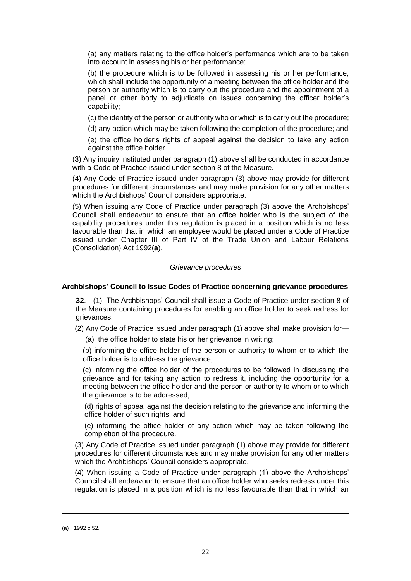(a) any matters relating to the office holder's performance which are to be taken into account in assessing his or her performance;

(b) the procedure which is to be followed in assessing his or her performance, which shall include the opportunity of a meeting between the office holder and the person or authority which is to carry out the procedure and the appointment of a panel or other body to adjudicate on issues concerning the officer holder's capability;

(c) the identity of the person or authority who or which is to carry out the procedure;

(d) any action which may be taken following the completion of the procedure; and

(e) the office holder's rights of appeal against the decision to take any action against the office holder.

(3) Any inquiry instituted under paragraph (1) above shall be conducted in accordance with a Code of Practice issued under section 8 of the Measure.

(4) Any Code of Practice issued under paragraph (3) above may provide for different procedures for different circumstances and may make provision for any other matters which the Archbishops' Council considers appropriate.

(5) When issuing any Code of Practice under paragraph (3) above the Archbishops' Council shall endeavour to ensure that an office holder who is the subject of the capability procedures under this regulation is placed in a position which is no less favourable than that in which an employee would be placed under a Code of Practice issued under Chapter III of Part IV of the Trade Union and Labour Relations (Consolidation) Act 1992(**a**).

### *Grievance procedures*

#### <span id="page-21-0"></span>**Archbishops' Council to issue Codes of Practice concerning grievance procedures**

**32**.—(1) The Archbishops' Council shall issue a Code of Practice under section 8 of the Measure containing procedures for enabling an office holder to seek redress for grievances.

(2) Any Code of Practice issued under paragraph (1) above shall make provision for—

(a) the office holder to state his or her grievance in writing;

(b) informing the office holder of the person or authority to whom or to which the office holder is to address the grievance;

(c) informing the office holder of the procedures to be followed in discussing the grievance and for taking any action to redress it, including the opportunity for a meeting between the office holder and the person or authority to whom or to which the grievance is to be addressed;

(d) rights of appeal against the decision relating to the grievance and informing the office holder of such rights; and

(e) informing the office holder of any action which may be taken following the completion of the procedure.

(3) Any Code of Practice issued under paragraph (1) above may provide for different procedures for different circumstances and may make provision for any other matters which the Archbishops' Council considers appropriate.

(4) When issuing a Code of Practice under paragraph (1) above the Archbishops' Council shall endeavour to ensure that an office holder who seeks redress under this regulation is placed in a position which is no less favourable than that in which an

<sup>(</sup>**a**) 1992 c.52.